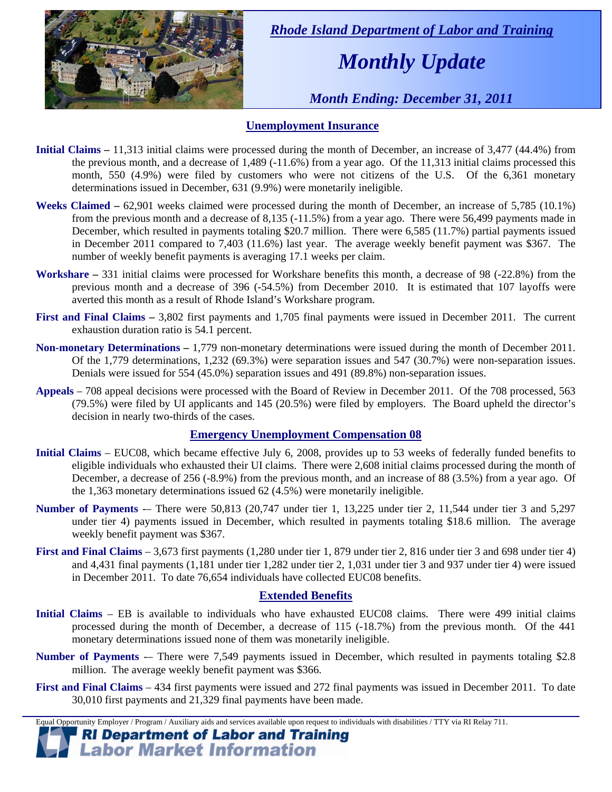

 *Rhode Island Department of Labor and Training* 

# *Monthly Update*

 *Month Ending: December 31, 2011* 

### **Unemployment Insurance**

- **Initial Claims** 11,313 initial claims were processed during the month of December, an increase of 3,477 (44.4%) from the previous month, and a decrease of 1,489 (-11.6%) from a year ago. Of the 11,313 initial claims processed this month, 550 (4.9%) were filed by customers who were not citizens of the U.S. Of the 6,361 monetary determinations issued in December, 631 (9.9%) were monetarily ineligible.
- **Weeks Claimed**  $62,901$  weeks claimed were processed during the month of December, an increase of 5,785 (10.1%) from the previous month and a decrease of 8,135 (-11.5%) from a year ago. There were 56,499 payments made in December, which resulted in payments totaling \$20.7 million. There were 6,585 (11.7%) partial payments issued in December 2011 compared to 7,403 (11.6%) last year. The average weekly benefit payment was \$367. The number of weekly benefit payments is averaging 17.1 weeks per claim.
- **Workshare –** 331 initial claims were processed for Workshare benefits this month, a decrease of 98 (-22.8%) from the previous month and a decrease of 396 (-54.5%) from December 2010. It is estimated that 107 layoffs were averted this month as a result of Rhode Island's Workshare program.
- **First and Final Claims –** 3,802 first payments and 1,705 final payments were issued in December 2011. The current exhaustion duration ratio is 54.1 percent.
- **Non-monetary Determinations –** 1,779 non-monetary determinations were issued during the month of December 2011. Of the 1,779 determinations, 1,232 (69.3%) were separation issues and 547 (30.7%) were non-separation issues. Denials were issued for 554 (45.0%) separation issues and 491 (89.8%) non-separation issues.
- **Appeals** 708 appeal decisions were processed with the Board of Review in December 2011. Of the 708 processed, 563 (79.5%) were filed by UI applicants and 145 (20.5%) were filed by employers. The Board upheld the director's decision in nearly two-thirds of the cases.

### **Emergency Unemployment Compensation 08**

- **Initial Claims**  EUC08, which became effective July 6, 2008, provides up to 53 weeks of federally funded benefits to eligible individuals who exhausted their UI claims. There were 2,608 initial claims processed during the month of December, a decrease of 256 (-8.9%) from the previous month, and an increase of 88 (3.5%) from a year ago. Of the 1,363 monetary determinations issued 62  $(4.5\%)$  were monetarily ineligible.
- **Number of Payments** -– There were 50,813 (20,747 under tier 1, 13,225 under tier 2, 11,544 under tier 3 and 5,297 under tier 4) payments issued in December, which resulted in payments totaling \$18.6 million. The average weekly benefit payment was \$367.
- **First and Final Claims**  3,673 first payments (1,280 under tier 1, 879 under tier 2, 816 under tier 3 and 698 under tier 4) and 4,431 final payments (1,181 under tier 1,282 under tier 2, 1,031 under tier 3 and 937 under tier 4) were issued in December 2011. To date 76,654 individuals have collected EUC08 benefits.

### **Extended Benefits**

- **Initial Claims**  EB is available to individuals who have exhausted EUC08 claims. There were 499 initial claims processed during the month of December, a decrease of 115 (-18.7%) from the previous month. Of the 441 monetary determinations issued none of them was monetarily ineligible.
- **Number of Payments** -– There were 7,549 payments issued in December, which resulted in payments totaling \$2.8 million. The average weekly benefit payment was \$366.
- **First and Final Claims**  434 first payments were issued and 272 final payments was issued in December 2011. To date 30,010 first payments and 21,329 final payments have been made.

Equal Opportunity Employer / Program / Auxiliary aids and services available upon request to individuals with disabilities / TTY via RI Relay 711.

**RI Department of Labor and Training Labor Market Information**